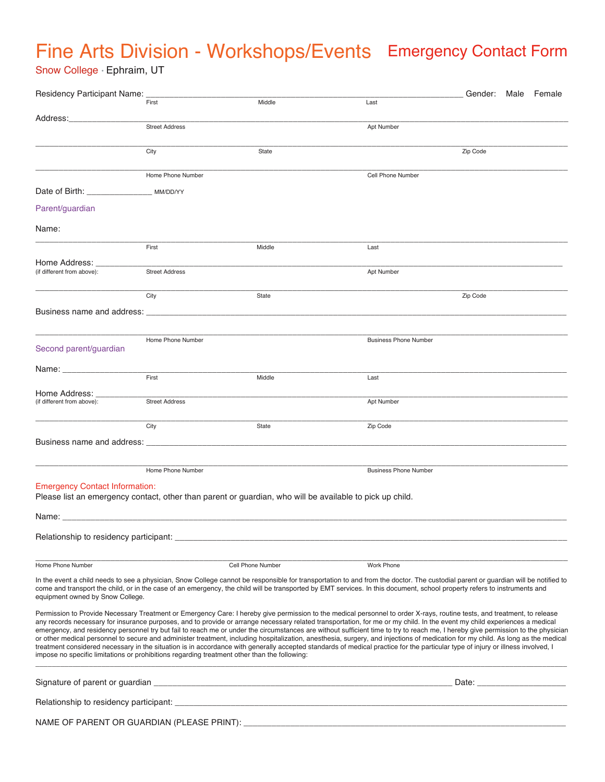## Fine Arts Division - Workshops/Events Emergency Contact Form

Snow College • Ephraim, UT

| Residency Participant Name:                                                                                                                       | First                 | Middle            | Last                                                                                                                                                                                                                                                                                                                                                                                                                                                                                                                                                                                                                                                                                                                                                                                                                                                                                                             | Gender: Male Female                                                                                                                                                                                                            |  |
|---------------------------------------------------------------------------------------------------------------------------------------------------|-----------------------|-------------------|------------------------------------------------------------------------------------------------------------------------------------------------------------------------------------------------------------------------------------------------------------------------------------------------------------------------------------------------------------------------------------------------------------------------------------------------------------------------------------------------------------------------------------------------------------------------------------------------------------------------------------------------------------------------------------------------------------------------------------------------------------------------------------------------------------------------------------------------------------------------------------------------------------------|--------------------------------------------------------------------------------------------------------------------------------------------------------------------------------------------------------------------------------|--|
|                                                                                                                                                   |                       |                   |                                                                                                                                                                                                                                                                                                                                                                                                                                                                                                                                                                                                                                                                                                                                                                                                                                                                                                                  |                                                                                                                                                                                                                                |  |
| Address:                                                                                                                                          | <b>Street Address</b> |                   | Apt Number                                                                                                                                                                                                                                                                                                                                                                                                                                                                                                                                                                                                                                                                                                                                                                                                                                                                                                       |                                                                                                                                                                                                                                |  |
|                                                                                                                                                   | City                  | State             |                                                                                                                                                                                                                                                                                                                                                                                                                                                                                                                                                                                                                                                                                                                                                                                                                                                                                                                  | Zip Code                                                                                                                                                                                                                       |  |
|                                                                                                                                                   |                       |                   |                                                                                                                                                                                                                                                                                                                                                                                                                                                                                                                                                                                                                                                                                                                                                                                                                                                                                                                  |                                                                                                                                                                                                                                |  |
|                                                                                                                                                   | Home Phone Number     |                   | Cell Phone Number                                                                                                                                                                                                                                                                                                                                                                                                                                                                                                                                                                                                                                                                                                                                                                                                                                                                                                |                                                                                                                                                                                                                                |  |
| Date of Birth: MM/DD/YY                                                                                                                           |                       |                   |                                                                                                                                                                                                                                                                                                                                                                                                                                                                                                                                                                                                                                                                                                                                                                                                                                                                                                                  |                                                                                                                                                                                                                                |  |
| Parent/guardian                                                                                                                                   |                       |                   |                                                                                                                                                                                                                                                                                                                                                                                                                                                                                                                                                                                                                                                                                                                                                                                                                                                                                                                  |                                                                                                                                                                                                                                |  |
| Name:                                                                                                                                             |                       |                   |                                                                                                                                                                                                                                                                                                                                                                                                                                                                                                                                                                                                                                                                                                                                                                                                                                                                                                                  |                                                                                                                                                                                                                                |  |
|                                                                                                                                                   | First                 | Middle            | Last                                                                                                                                                                                                                                                                                                                                                                                                                                                                                                                                                                                                                                                                                                                                                                                                                                                                                                             |                                                                                                                                                                                                                                |  |
| Home Address:                                                                                                                                     |                       |                   |                                                                                                                                                                                                                                                                                                                                                                                                                                                                                                                                                                                                                                                                                                                                                                                                                                                                                                                  |                                                                                                                                                                                                                                |  |
| (if different from above):                                                                                                                        | <b>Street Address</b> |                   | Apt Number                                                                                                                                                                                                                                                                                                                                                                                                                                                                                                                                                                                                                                                                                                                                                                                                                                                                                                       |                                                                                                                                                                                                                                |  |
|                                                                                                                                                   | City                  | State             |                                                                                                                                                                                                                                                                                                                                                                                                                                                                                                                                                                                                                                                                                                                                                                                                                                                                                                                  | Zip Code                                                                                                                                                                                                                       |  |
|                                                                                                                                                   |                       |                   |                                                                                                                                                                                                                                                                                                                                                                                                                                                                                                                                                                                                                                                                                                                                                                                                                                                                                                                  |                                                                                                                                                                                                                                |  |
|                                                                                                                                                   |                       |                   |                                                                                                                                                                                                                                                                                                                                                                                                                                                                                                                                                                                                                                                                                                                                                                                                                                                                                                                  |                                                                                                                                                                                                                                |  |
| Second parent/guardian                                                                                                                            | Home Phone Number     |                   | <b>Business Phone Number</b>                                                                                                                                                                                                                                                                                                                                                                                                                                                                                                                                                                                                                                                                                                                                                                                                                                                                                     |                                                                                                                                                                                                                                |  |
|                                                                                                                                                   |                       |                   |                                                                                                                                                                                                                                                                                                                                                                                                                                                                                                                                                                                                                                                                                                                                                                                                                                                                                                                  |                                                                                                                                                                                                                                |  |
| Name: _______________________                                                                                                                     | First                 | Middle            | Last                                                                                                                                                                                                                                                                                                                                                                                                                                                                                                                                                                                                                                                                                                                                                                                                                                                                                                             |                                                                                                                                                                                                                                |  |
| Home Address:                                                                                                                                     |                       |                   |                                                                                                                                                                                                                                                                                                                                                                                                                                                                                                                                                                                                                                                                                                                                                                                                                                                                                                                  |                                                                                                                                                                                                                                |  |
| (if different from above):                                                                                                                        | <b>Street Address</b> |                   | Apt Number                                                                                                                                                                                                                                                                                                                                                                                                                                                                                                                                                                                                                                                                                                                                                                                                                                                                                                       |                                                                                                                                                                                                                                |  |
|                                                                                                                                                   | City                  | State             | Zip Code                                                                                                                                                                                                                                                                                                                                                                                                                                                                                                                                                                                                                                                                                                                                                                                                                                                                                                         |                                                                                                                                                                                                                                |  |
|                                                                                                                                                   |                       |                   |                                                                                                                                                                                                                                                                                                                                                                                                                                                                                                                                                                                                                                                                                                                                                                                                                                                                                                                  |                                                                                                                                                                                                                                |  |
|                                                                                                                                                   |                       |                   |                                                                                                                                                                                                                                                                                                                                                                                                                                                                                                                                                                                                                                                                                                                                                                                                                                                                                                                  |                                                                                                                                                                                                                                |  |
| <b>Emergency Contact Information:</b><br>Please list an emergency contact, other than parent or guardian, who will be available to pick up child. | Home Phone Number     |                   | <b>Business Phone Number</b>                                                                                                                                                                                                                                                                                                                                                                                                                                                                                                                                                                                                                                                                                                                                                                                                                                                                                     |                                                                                                                                                                                                                                |  |
| Name:                                                                                                                                             |                       |                   |                                                                                                                                                                                                                                                                                                                                                                                                                                                                                                                                                                                                                                                                                                                                                                                                                                                                                                                  |                                                                                                                                                                                                                                |  |
| Relationship to residency participant: _                                                                                                          |                       |                   |                                                                                                                                                                                                                                                                                                                                                                                                                                                                                                                                                                                                                                                                                                                                                                                                                                                                                                                  |                                                                                                                                                                                                                                |  |
|                                                                                                                                                   |                       |                   |                                                                                                                                                                                                                                                                                                                                                                                                                                                                                                                                                                                                                                                                                                                                                                                                                                                                                                                  |                                                                                                                                                                                                                                |  |
| Home Phone Number                                                                                                                                 |                       | Cell Phone Number | Work Phone                                                                                                                                                                                                                                                                                                                                                                                                                                                                                                                                                                                                                                                                                                                                                                                                                                                                                                       |                                                                                                                                                                                                                                |  |
| equipment owned by Snow College.                                                                                                                  |                       |                   | In the event a child needs to see a physician, Snow College cannot be responsible for transportation to and from the doctor. The custodial parent or guardian will be notified to<br>come and transport the child, or in the case of an emergency, the child will be transported by EMT services. In this document, school property refers to instruments and                                                                                                                                                                                                                                                                                                                                                                                                                                                                                                                                                    |                                                                                                                                                                                                                                |  |
| impose no specific limitations or prohibitions regarding treatment other than the following:                                                      |                       |                   | Permission to Provide Necessary Treatment or Emergency Care: I hereby give permission to the medical personnel to order X-rays, routine tests, and treatment, to release<br>any records necessary for insurance purposes, and to provide or arrange necessary related transportation, for me or my child. In the event my child experiences a medical<br>emergency, and residency personnel try but fail to reach me or under the circumstances are without sufficient time to try to reach me, I hereby give permission to the physician<br>or other medical personnel to secure and administer treatment, including hospitalization, anesthesia, surgery, and injections of medication for my child. As long as the medical<br>treatment considered necessary in the situation is in accordance with generally accepted standards of medical practice for the particular type of injury or illness involved, I |                                                                                                                                                                                                                                |  |
|                                                                                                                                                   |                       |                   |                                                                                                                                                                                                                                                                                                                                                                                                                                                                                                                                                                                                                                                                                                                                                                                                                                                                                                                  | Date: the contract of the contract of the contract of the contract of the contract of the contract of the contract of the contract of the contract of the contract of the contract of the contract of the contract of the cont |  |
|                                                                                                                                                   |                       |                   |                                                                                                                                                                                                                                                                                                                                                                                                                                                                                                                                                                                                                                                                                                                                                                                                                                                                                                                  |                                                                                                                                                                                                                                |  |
|                                                                                                                                                   |                       |                   |                                                                                                                                                                                                                                                                                                                                                                                                                                                                                                                                                                                                                                                                                                                                                                                                                                                                                                                  |                                                                                                                                                                                                                                |  |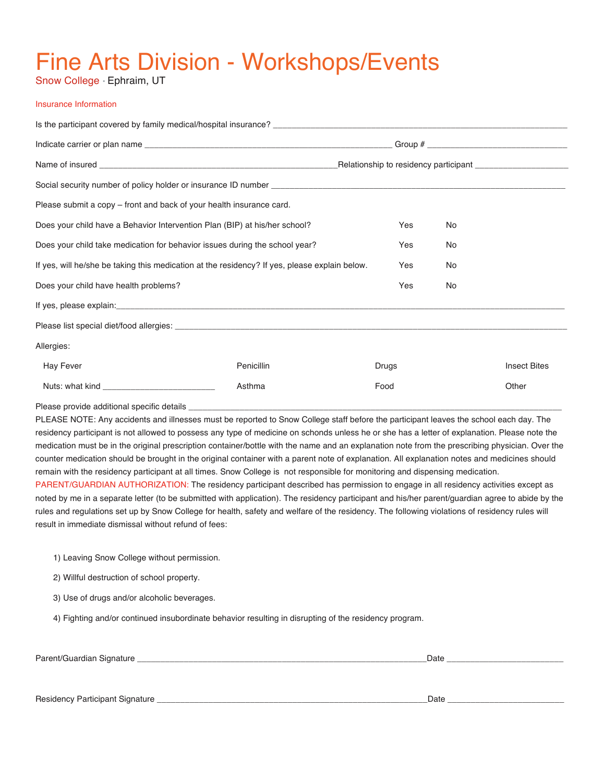# Fine Arts Division - Workshops/Events

Snow College • Ephraim, UT

#### Insurance Information

| Please submit a copy – front and back of your health insurance card.                          |            |       |  |                     |  |  |  |  |
|-----------------------------------------------------------------------------------------------|------------|-------|--|---------------------|--|--|--|--|
| Does your child have a Behavior Intervention Plan (BIP) at his/her school?                    | Yes        | No    |  |                     |  |  |  |  |
| Does your child take medication for behavior issues during the school year?                   | Yes        | No    |  |                     |  |  |  |  |
| If yes, will he/she be taking this medication at the residency? If yes, please explain below. | Yes        | No    |  |                     |  |  |  |  |
| Does your child have health problems?                                                         | Yes        | No    |  |                     |  |  |  |  |
|                                                                                               |            |       |  |                     |  |  |  |  |
|                                                                                               |            |       |  |                     |  |  |  |  |
| Allergies:                                                                                    |            |       |  |                     |  |  |  |  |
| <b>Hay Fever</b>                                                                              | Penicillin | Drugs |  | <b>Insect Bites</b> |  |  |  |  |
|                                                                                               | Asthma     | Food  |  | Other               |  |  |  |  |
| Dlosso provide additional epocitie detaile                                                    |            |       |  |                     |  |  |  |  |

Please provide additional specific details

PLEASE NOTE: Any accidents and illnesses must be reported to Snow College staff before the participant leaves the school each day. The residency participant is not allowed to possess any type of medicine on schonds unless he or she has a letter of explanation. Please note the medication must be in the original prescription container/bottle with the name and an explanation note from the prescribing physician. Over the counter medication should be brought in the original container with a parent note of explanation. All explanation notes and medicines should remain with the residency participant at all times. Snow College is not responsible for monitoring and dispensing medication.

PARENT/GUARDIAN AUTHORIZATION: The residency participant described has permission to engage in all residency activities except as noted by me in a separate letter (to be submitted with application). The residency participant and his/her parent/guardian agree to abide by the rules and regulations set up by Snow College for health, safety and welfare of the residency. The following violations of residency rules will result in immediate dismissal without refund of fees:

1) Leaving Snow College without permission.

2) Willful destruction of school property.

3) Use of drugs and/or alcoholic beverages.

4) Fighting and/or continued insubordinate behavior resulting in disrupting of the residency program.

Parent/Guardian Signature \_\_\_\_\_\_\_\_\_\_\_\_\_\_\_\_\_\_\_\_\_\_\_\_\_\_\_\_\_\_\_\_\_\_\_\_\_\_\_\_\_\_\_\_\_\_\_\_\_\_\_\_\_\_\_\_\_\_\_\_\_\_Date \_\_\_\_\_\_\_\_\_\_\_\_\_\_\_\_\_\_\_\_\_\_\_\_\_

Residency Participant Signature \_\_\_\_\_\_\_\_\_\_\_\_\_\_\_\_\_\_\_\_\_\_\_\_\_\_\_\_\_\_\_\_\_\_\_\_\_\_\_\_\_\_\_\_\_\_\_\_\_\_\_\_\_\_\_\_\_\_Date \_\_\_\_\_\_\_\_\_\_\_\_\_\_\_\_\_\_\_\_\_\_\_\_\_